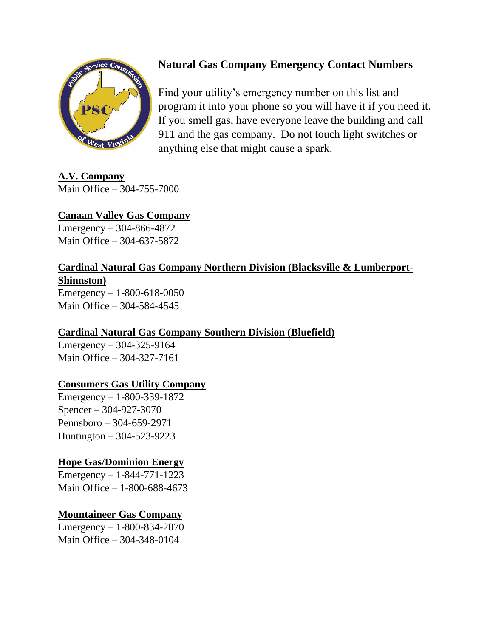

# **Natural Gas Company Emergency Contact Numbers**

Find your utility's emergency number on this list and program it into your phone so you will have it if you need it. If you smell gas, have everyone leave the building and call 911 and the gas company. Do not touch light switches or anything else that might cause a spark.

**A.V. Company** Main Office – 304-755-7000

## **Canaan Valley Gas Company**

Emergency – 304-866-4872 Main Office – 304-637-5872

## **Cardinal Natural Gas Company Northern Division (Blacksville & Lumberport-Shinnston)**

Emergency  $- 1 - 800 - 618 - 0050$ Main Office – 304-584-4545

## **Cardinal Natural Gas Company Southern Division (Bluefield)**

Emergency – 304-325-9164 Main Office – 304-327-7161

#### **Consumers Gas Utility Company**

Emergency – 1-800-339-1872 Spencer – 304-927-3070 Pennsboro – 304-659-2971 Huntington – 304-523-9223

## **Hope Gas/Dominion Energy**

Emergency – 1-844-771-1223 Main Office – 1-800-688-4673

## **Mountaineer Gas Company**

Emergency – 1-800-834-2070 Main Office – 304-348-0104